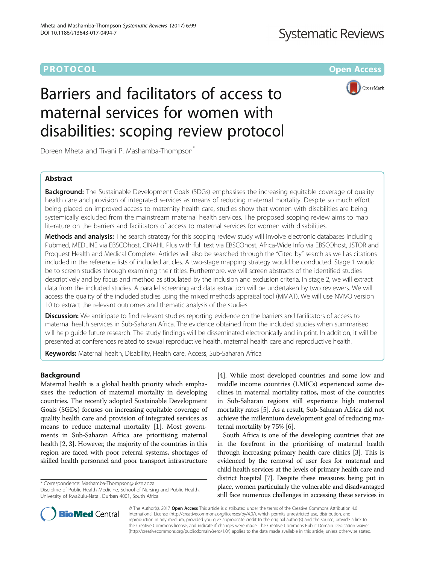# **PROTOCOL CONSUMING THE OPEN ACCESS**

# **Systematic Reviews**



# Barriers and facilitators of access to maternal services for women with disabilities: scoping review protocol

Doreen Mheta and Tivani P. Mashamba-Thompson<sup>®</sup>

# Abstract

**Background:** The Sustainable Development Goals (SDGs) emphasises the increasing equitable coverage of quality health care and provision of integrated services as means of reducing maternal mortality. Despite so much effort being placed on improved access to maternity health care, studies show that women with disabilities are being systemically excluded from the mainstream maternal health services. The proposed scoping review aims to map literature on the barriers and facilitators of access to maternal services for women with disabilities.

Methods and analysis: The search strategy for this scoping review study will involve electronic databases including Pubmed, MEDLINE via EBSCOhost, CINAHL Plus with full text via EBSCOhost, Africa-Wide Info via EBSCOhost, JSTOR and Proquest Health and Medical Complete. Articles will also be searched through the "Cited by" search as well as citations included in the reference lists of included articles. A two-stage mapping strategy would be conducted. Stage 1 would be to screen studies through examining their titles. Furthermore, we will screen abstracts of the identified studies descriptively and by focus and method as stipulated by the inclusion and exclusion criteria. In stage 2, we will extract data from the included studies. A parallel screening and data extraction will be undertaken by two reviewers. We will access the quality of the included studies using the mixed methods appraisal tool (MMAT). We will use NVIVO version 10 to extract the relevant outcomes and thematic analysis of the studies.

**Discussion:** We anticipate to find relevant studies reporting evidence on the barriers and facilitators of access to maternal health services in Sub-Saharan Africa. The evidence obtained from the included studies when summarised will help guide future research. The study findings will be disseminated electronically and in print. In addition, it will be presented at conferences related to sexual reproductive health, maternal health care and reproductive health.

Keywords: Maternal health, Disability, Health care, Access, Sub-Saharan Africa

# Background

Maternal health is a global health priority which emphasises the reduction of maternal mortality in developing countries. The recently adopted Sustainable Development Goals (SGDs) focuses on increasing equitable coverage of quality health care and provision of integrated services as means to reduce maternal mortality [\[1](#page-5-0)]. Most governments in Sub-Saharan Africa are prioritising maternal health [\[2, 3](#page-5-0)]. However, the majority of the countries in this region are faced with poor referral systems, shortages of skilled health personnel and poor transport infrastructure

\* Correspondence: [Mashamba-Thompson@ukzn.ac.za](mailto:Mashamba-Thompson@ukzn.ac.za)

Discipline of Public Health Medicine, School of Nursing and Public Health, University of KwaZulu-Natal, Durban 4001, South Africa

[[4\]](#page-5-0). While most developed countries and some low and middle income countries (LMICs) experienced some declines in maternal mortality ratios, most of the countries in Sub-Saharan regions still experience high maternal mortality rates [[5\]](#page-5-0). As a result, Sub-Saharan Africa did not achieve the millennium development goal of reducing maternal mortality by 75% [[6](#page-5-0)].

South Africa is one of the developing countries that are in the forefront in the prioritising of maternal health through increasing primary health care clinics [[3](#page-5-0)]. This is evidenced by the removal of user fees for maternal and child health services at the levels of primary health care and district hospital [\[7\]](#page-5-0). Despite these measures being put in place, women particularly the vulnerable and disadvantaged still face numerous challenges in accessing these services in



© The Author(s). 2017 **Open Access** This article is distributed under the terms of the Creative Commons Attribution 4.0 International License [\(http://creativecommons.org/licenses/by/4.0/](http://creativecommons.org/licenses/by/4.0/)), which permits unrestricted use, distribution, and reproduction in any medium, provided you give appropriate credit to the original author(s) and the source, provide a link to the Creative Commons license, and indicate if changes were made. The Creative Commons Public Domain Dedication waiver [\(http://creativecommons.org/publicdomain/zero/1.0/](http://creativecommons.org/publicdomain/zero/1.0/)) applies to the data made available in this article, unless otherwise stated.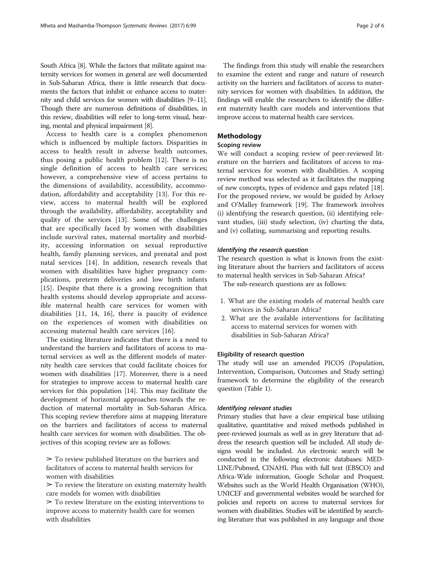South Africa [\[8\]](#page-5-0). While the factors that militate against maternity services for women in general are well documented in Sub-Saharan Africa, there is little research that documents the factors that inhibit or enhance access to maternity and child services for women with disabilities [\[9](#page-5-0)–[11](#page-5-0)]. Though there are numerous definitions of disabilities, in this review, disabilities will refer to long-term visual, hearing, mental and physical impairment [[8](#page-5-0)].

Access to health care is a complex phenomenon which is influenced by multiple factors. Disparities in access to health result in adverse health outcomes, thus posing a public health problem [[12\]](#page-5-0). There is no single definition of access to health care services; however, a comprehensive view of access pertains to the dimensions of availability, accessibility, accommodation, affordability and acceptability [[13\]](#page-5-0). For this review, access to maternal health will be explored through the availability, affordability, acceptability and quality of the services [[13\]](#page-5-0). Some of the challenges that are specifically faced by women with disabilities include survival rates, maternal mortality and morbidity, accessing information on sexual reproductive health, family planning services, and prenatal and post natal services [\[14](#page-5-0)]. In addition, research reveals that women with disabilities have higher pregnancy complications, preterm deliveries and low birth infants [[15\]](#page-5-0). Despite that there is a growing recognition that health systems should develop appropriate and accessible maternal health care services for women with disabilities [\[11](#page-5-0), [14](#page-5-0), [16\]](#page-5-0), there is paucity of evidence on the experiences of women with disabilities on accessing maternal health care services [[16\]](#page-5-0).

The existing literature indicates that there is a need to understand the barriers and facilitators of access to maternal services as well as the different models of maternity health care services that could facilitate choices for women with disabilities [[17](#page-5-0)]. Moreover, there is a need for strategies to improve access to maternal health care services for this population [[14](#page-5-0)]. This may facilitate the development of horizontal approaches towards the reduction of maternal mortality in Sub-Saharan Africa. This scoping review therefore aims at mapping literature on the barriers and facilitators of access to maternal health care services for women with disabilities. The objectives of this scoping review are as follows:

 $\geq$  To review published literature on the barriers and facilitators of access to maternal health services for women with disabilities

 $\geq$  To review the literature on existing maternity health care models for women with disabilities

 $\geq$  To review literature on the existing interventions to improve access to maternity health care for women with disabilities

The findings from this study will enable the researchers to examine the extent and range and nature of research activity on the barriers and facilitators of access to maternity services for women with disabilities. In addition, the findings will enable the researchers to identify the different maternity health care models and interventions that improve access to maternal health care services.

# Methodology

# Scoping review

We will conduct a scoping review of peer-reviewed literature on the barriers and facilitators of access to maternal services for women with disabilities. A scoping review method was selected as it facilitates the mapping of new concepts, types of evidence and gaps related [\[18](#page-5-0)]. For the proposed review, we would be guided by Arksey and O'Malley framework [\[19\]](#page-5-0). The framework involves (i) identifying the research question, (ii) identifying relevant studies, (iii) study selection, (iv) charting the data, and (v) collating, summarising and reporting results.

## Identifying the research question

The research question is what is known from the existing literature about the barriers and facilitators of access to maternal health services in Sub-Saharan Africa?

The sub-research questions are as follows:

- 1. What are the existing models of maternal health care services in Sub-Saharan Africa?
- 2. What are the available interventions for facilitating access to maternal services for women with disabilities in Sub-Saharan Africa?

#### Eligibility of research question

The study will use an amended PICOS (Population, Intervention, Comparison, Outcomes and Study setting) framework to determine the eligibility of the research question (Table [1\)](#page-2-0).

# Identifying relevant studies

Primary studies that have a clear empirical base utilising qualitative, quantitative and mixed methods published in peer-reviewed journals as well as in grey literature that address the research question will be included. All study designs would be included. An electronic search will be conducted in the following electronic databases: MED-LINE/Pubmed, CINAHL Plus with full text (EBSCO) and Africa-Wide information, Google Scholar and Proquest. Websites such as the World Health Organisation (WHO), UNICEF and governmental websites would be searched for policies and reports on access to maternal services for women with disabilities. Studies will be identified by searching literature that was published in any language and those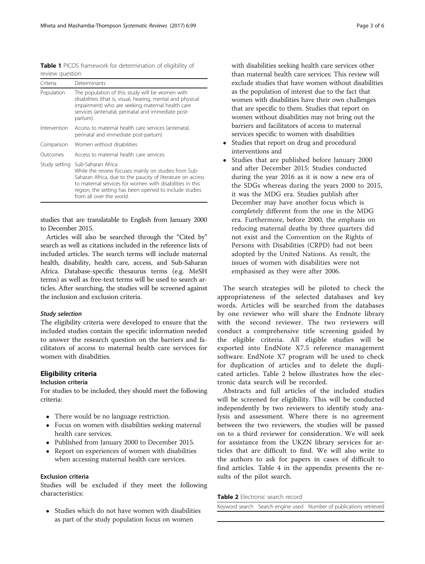<span id="page-2-0"></span>Table 1 PICOS framework for determination of eligibility of review question

| Criteria      | Determinants                                                                                                                                                                                                                                                                               |
|---------------|--------------------------------------------------------------------------------------------------------------------------------------------------------------------------------------------------------------------------------------------------------------------------------------------|
| Population    | The population of this study will be women with<br>disabilities (that is, visual, hearing, mental and physical<br>impairment) who are seeking maternal health care<br>services (antenatal, perinatal and immediate post-<br>partum).                                                       |
| Intervention  | Access to maternal health care services (antenatal,<br>perinatal and immediate post-partum)                                                                                                                                                                                                |
| Comparison    | Women without disabilities                                                                                                                                                                                                                                                                 |
| Outcomes      | Access to maternal health care services                                                                                                                                                                                                                                                    |
| Study setting | Sub-Saharan Africa<br>While the review focuses mainly on studies from Sub-<br>Saharan Africa, due to the paucity of literature on access<br>to maternal services for women with disabilities in this<br>region, the setting has been opened to include studies<br>from all over the world. |

studies that are translatable to English from January 2000 to December 2015.

Articles will also be searched through the "Cited by" search as well as citations included in the reference lists of included articles. The search terms will include maternal health, disability, health care, access, and Sub-Saharan Africa. Database-specific thesaurus terms (e.g. MeSH terms) as well as free-text terms will be used to search articles. After searching, the studies will be screened against the inclusion and exclusion criteria.

#### Study selection

The eligibility criteria were developed to ensure that the included studies contain the specific information needed to answer the research question on the barriers and facilitators of access to maternal health care services for women with disabilities.

# Eligibility criteria

# Inclusion criteria

For studies to be included, they should meet the following criteria:

- There would be no language restriction.
- Focus on women with disabilities seeking maternal health care services.
- Published from January 2000 to December 2015.
- Report on experiences of women with disabilities when accessing maternal health care services.

#### Exclusion criteria

Studies will be excluded if they meet the following characteristics:

• Studies which do not have women with disabilities as part of the study population focus on women

with disabilities seeking health care services other than maternal health care services: This review will exclude studies that have women without disabilities as the population of interest due to the fact that women with disabilities have their own challenges that are specific to them. Studies that report on women without disabilities may not bring out the barriers and facilitators of access to maternal services specific to women with disabilities

- Studies that report on drug and procedural interventions and
- Studies that are published before January 2000 and after December 2015: Studies conducted during the year 2016 as it is now a new era of the SDGs whereas during the years 2000 to 2015, it was the MDG era. Studies publish after December may have another focus which is completely different from the one in the MDG era. Furthermore, before 2000, the emphasis on reducing maternal deaths by three quarters did not exist and the Convention on the Rights of Persons with Disabilities (CRPD) had not been adopted by the United Nations. As result, the issues of women with disabilities were not emphasised as they were after 2006.

The search strategies will be piloted to check the appropriateness of the selected databases and key words. Articles will be searched from the databases by one reviewer who will share the Endnote library with the second reviewer. The two reviewers will conduct a comprehensive title screening guided by the eligible criteria. All eligible studies will be exported into EndNote X7.5 reference management software. EndNote X7 program will be used to check for duplication of articles and to delete the duplicated articles. Table 2 below illustrates how the electronic data search will be recorded.

Abstracts and full articles of the included studies will be screened for eligibility. This will be conducted independently by two reviewers to identify study analysis and assessment. Where there is no agreement between the two reviewers, the studies will be passed on to a third reviewer for consideration. We will seek for assistance from the UKZN library services for articles that are difficult to find. We will also write to the authors to ask for papers in cases of difficult to find articles. Table [4](#page-4-0) in the [appendix](#page-4-0) presents the results of the pilot search.

Table 2 Electronic search record

Keyword search Search engine used Number of publications retrieved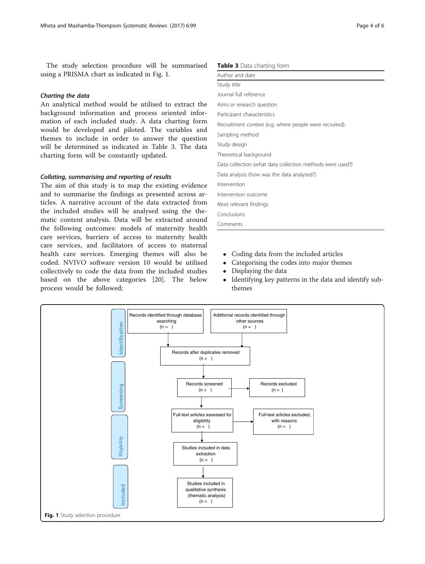The study selection procedure will be summarised using a PRISMA chart as indicated in Fig. 1.

## Charting the data

An analytical method would be utilised to extract the background information and process oriented information of each included study. A data charting form would be developed and piloted. The variables and themes to include in order to answer the question will be determined as indicated in Table 3. The data charting form will be constantly updated.

# Collating, summarising and reporting of results

The aim of this study is to map the existing evidence and to summarise the findings as presented across articles. A narrative account of the data extracted from the included studies will be analysed using the thematic content analysis. Data will be extracted around the following outcomes: models of maternity health care services, barriers of access to maternity health care services, and facilitators of access to maternal health care services. Emerging themes will also be coded. NVIVO software version 10 would be utilised collectively to code the data from the included studies based on the above categories [[20\]](#page-5-0). The below process would be followed;

| Page 4 of 6 |  |  |  |
|-------------|--|--|--|
|-------------|--|--|--|

#### Table 3 Data charting form

| Author and date                                           |  |
|-----------------------------------------------------------|--|
| Study title                                               |  |
| Journal full reference                                    |  |
| Aims or research question                                 |  |
| Participant characteristics                               |  |
| Recruitment context (e.g. where people were recruited).   |  |
| Sampling method                                           |  |
| Study design                                              |  |
| Theoretical background                                    |  |
| Data collection (what data collection methods were used?) |  |
| Data analysis (how was the data analysed?)                |  |
| Intervention                                              |  |
| Intervention outcome                                      |  |
| Most relevant findings                                    |  |
| Conclusions                                               |  |
| Comments                                                  |  |

- Coding data from the included articles<br>• Categorising the codes into major then
- Categorising the codes into major themes
- Displaying the data
- Identifying key patterns in the data and identify subthemes

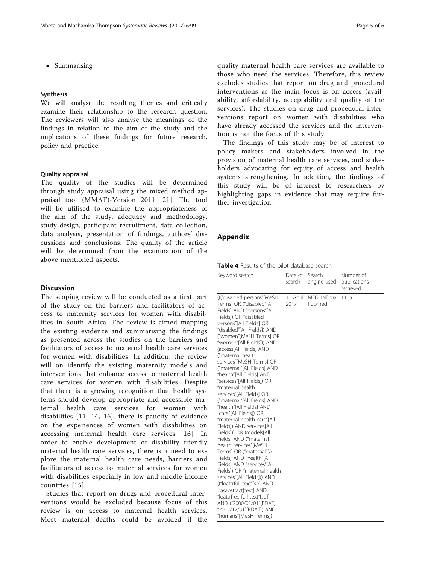<span id="page-4-0"></span>• Summarising

# Synthesis

We will analyse the resulting themes and critically examine their relationship to the research question. The reviewers will also analyse the meanings of the findings in relation to the aim of the study and the implications of these findings for future research, policy and practice.

# Quality appraisal

The quality of the studies will be determined through study appraisal using the mixed method appraisal tool (MMAT)-Version 2011 [[21](#page-5-0)]. The tool will be utilised to examine the appropriateness of the aim of the study, adequacy and methodology, study design, participant recruitment, data collection, data analysis, presentation of findings, authors' discussions and conclusions. The quality of the article will be determined from the examination of the above mentioned aspects.

# **Discussion**

The scoping review will be conducted as a first part of the study on the barriers and facilitators of access to maternity services for women with disabilities in South Africa. The review is aimed mapping the existing evidence and summarising the findings as presented across the studies on the barriers and facilitators of access to maternal health care services for women with disabilities. In addition, the review will on identify the existing maternity models and interventions that enhance access to maternal health care services for women with disabilities. Despite that there is a growing recognition that health systems should develop appropriate and accessible maternal health care services for women with disabilities [\[11, 14](#page-5-0), [16\]](#page-5-0), there is paucity of evidence on the experiences of women with disabilities on accessing maternal health care services [\[16\]](#page-5-0). In order to enable development of disability friendly maternal health care services, there is a need to explore the maternal health care needs, barriers and facilitators of access to maternal services for women with disabilities especially in low and middle income countries [[15](#page-5-0)].

Studies that report on drugs and procedural interventions would be excluded because focus of this review is on access to maternal health services. Most maternal deaths could be avoided if the

quality maternal health care services are available to those who need the services. Therefore, this review excludes studies that report on drug and procedural interventions as the main focus is on access (availability, affordability, acceptability and quality of the services). The studies on drug and procedural interventions report on women with disabilities who have already accessed the services and the intervention is not the focus of this study.

The findings of this study may be of interest to policy makers and stakeholders involved in the provision of maternal health care services, and stakeholders advocating for equity of access and health systems strengthening. In addition, the findings of this study will be of interest to researchers by highlighting gaps in evidence that may require further investigation.

# Appendix

| Table 4 Results of the pilot database search |
|----------------------------------------------|
|----------------------------------------------|

| Keyword search                                                                                                                                                                                                                                                                                                                                                                                                                                                                                                                                                                                                                                                                                                                                                                                                                                                                                                                                                                                                   | Date of<br>search | Search<br>engine used | Number of<br>publications<br>retrieved |
|------------------------------------------------------------------------------------------------------------------------------------------------------------------------------------------------------------------------------------------------------------------------------------------------------------------------------------------------------------------------------------------------------------------------------------------------------------------------------------------------------------------------------------------------------------------------------------------------------------------------------------------------------------------------------------------------------------------------------------------------------------------------------------------------------------------------------------------------------------------------------------------------------------------------------------------------------------------------------------------------------------------|-------------------|-----------------------|----------------------------------------|
| ((("disabled persons"[MeSH<br>Terms] OR ("disabled"[All<br>Fields] AND "persons"[All<br>Fields]) OR "disabled<br>persons"[All Fields] OR<br>"disabled"[All Fields]) AND<br>("women"[MeSH Terms] OR<br>"women"[All Fields])) AND<br>(access[All Fields] AND<br>("maternal health<br>services"[MeSH Terms] OR<br>("maternal"[All Fields] AND<br>"health"[All Fields] AND<br>"services"[All Fields]) OR<br>"maternal health<br>services"[All Fields] OR<br>("maternal"[All Fields] AND<br>"health"[All Fields] AND<br>"care"[All Fields]) OR<br>"maternal health care"[All<br>Fields]) AND services[All<br>Fields])) OR (models[All<br>Fields] AND ("maternal<br>health services"[MeSH<br>Terms] OR ("maternal"[All<br>Fields] AND "health"[All<br>Fields] AND "services"[All<br>Fields]) OR "maternal health<br>services"[All Fields])) AND<br>(("loattrfull text"[sb] AND<br>hasabstract[text] AND<br>"loattrfree full text"[sb])<br>AND ("2000/01/01"[PDAT]:<br>"2015/12/31"[PDAT]) AND<br>"humans"[MeSH Terms]) | 11 April<br>2017  | MEDLINE via<br>Pubmed | 1115                                   |